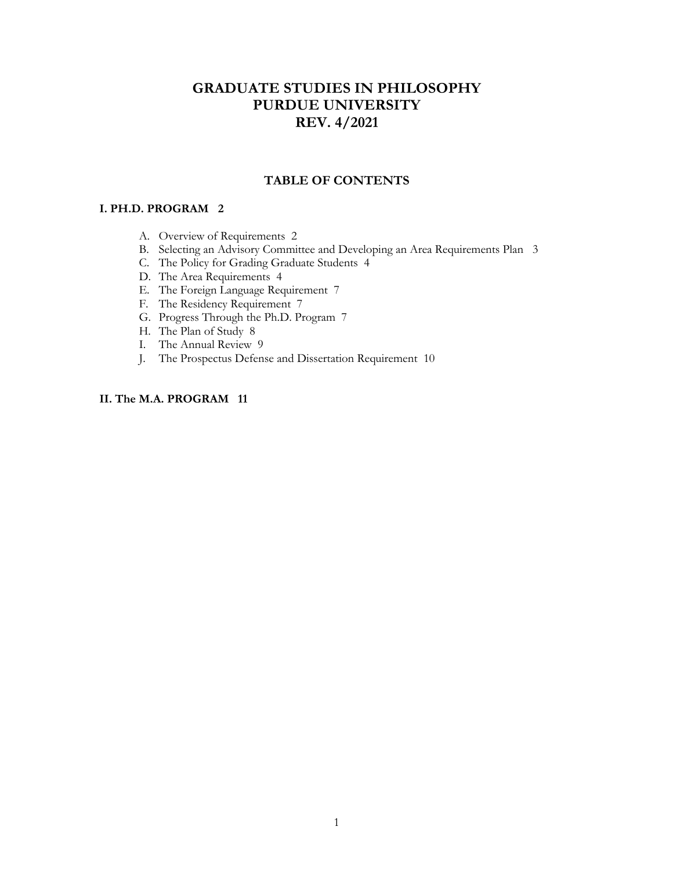### **GRADUATE STUDIES IN PHILOSOPHY PURDUE UNIVERSITY REV. 4/2021**

### **TABLE OF CONTENTS**

### **I. PH.D. PROGRAM 2**

- A. Overview of Requirements 2
- B. Selecting an Advisory Committee and Developing an Area Requirements Plan 3
- C. The Policy for Grading Graduate Students 4
- D. The Area Requirements 4
- E. The Foreign Language Requirement 7
- F. The Residency Requirement 7
- G. Progress Through the Ph.D. Program 7
- H. The Plan of Study 8
- I. The Annual Review 9
- J. The Prospectus Defense and Dissertation Requirement 10

### **II. The M.A. PROGRAM 11**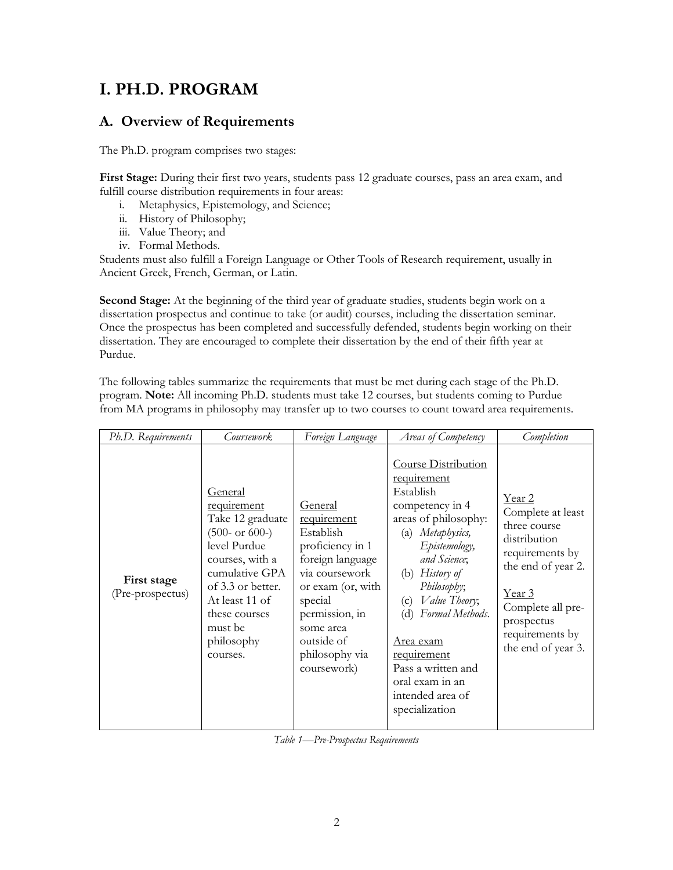# **I. PH.D. PROGRAM**

### **A. Overview of Requirements**

The Ph.D. program comprises two stages:

**First Stage:** During their first two years, students pass 12 graduate courses, pass an area exam, and fulfill course distribution requirements in four areas:

- i. Metaphysics, Epistemology, and Science;
- ii. History of Philosophy;
- iii. Value Theory; and
- iv. Formal Methods.

Students must also fulfill a Foreign Language or Other Tools of Research requirement, usually in Ancient Greek, French, German, or Latin.

**Second Stage:** At the beginning of the third year of graduate studies, students begin work on a dissertation prospectus and continue to take (or audit) courses, including the dissertation seminar. Once the prospectus has been completed and successfully defended, students begin working on their dissertation. They are encouraged to complete their dissertation by the end of their fifth year at Purdue.

The following tables summarize the requirements that must be met during each stage of the Ph.D. program. **Note:** All incoming Ph.D. students must take 12 courses, but students coming to Purdue from MA programs in philosophy may transfer up to two courses to count toward area requirements.

| Ph.D. Requirements              | Coursework                                                                                                                                                                                                       | Foreign Language                                                                                                                                                                                                   | Areas of Competency                                                                                                                                                                                                                                                                                                                        | Completion                                                                                                                                                                                        |
|---------------------------------|------------------------------------------------------------------------------------------------------------------------------------------------------------------------------------------------------------------|--------------------------------------------------------------------------------------------------------------------------------------------------------------------------------------------------------------------|--------------------------------------------------------------------------------------------------------------------------------------------------------------------------------------------------------------------------------------------------------------------------------------------------------------------------------------------|---------------------------------------------------------------------------------------------------------------------------------------------------------------------------------------------------|
| First stage<br>(Pre-prospectus) | General<br>requirement<br>Take 12 graduate<br>$(500- or 600-)$<br>level Purdue<br>courses, with a<br>cumulative GPA<br>of 3.3 or better.<br>At least 11 of<br>these courses<br>must be<br>philosophy<br>courses. | <b>General</b><br>requirement<br>Establish<br>proficiency in 1<br>foreign language<br>via coursework<br>or exam (or, with<br>special<br>permission, in<br>some area<br>outside of<br>philosophy via<br>coursework) | Course Distribution<br>requirement<br>Establish<br>competency in 4<br>areas of philosophy:<br>(a) Metaphysics,<br>Epistemology,<br>and Science;<br>(b) History of<br>Philosophy;<br>(c) Value Theory;<br>Formal Methods.<br>(d)<br>Area exam<br>requirement<br>Pass a written and<br>oral exam in an<br>intended area of<br>specialization | Year 2<br>Complete at least<br>three course<br>distribution<br>requirements by<br>the end of year 2.<br><u>Year 3</u><br>Complete all pre-<br>prospectus<br>requirements by<br>the end of year 3. |

*Table 1—Pre-Prospectus Requirements*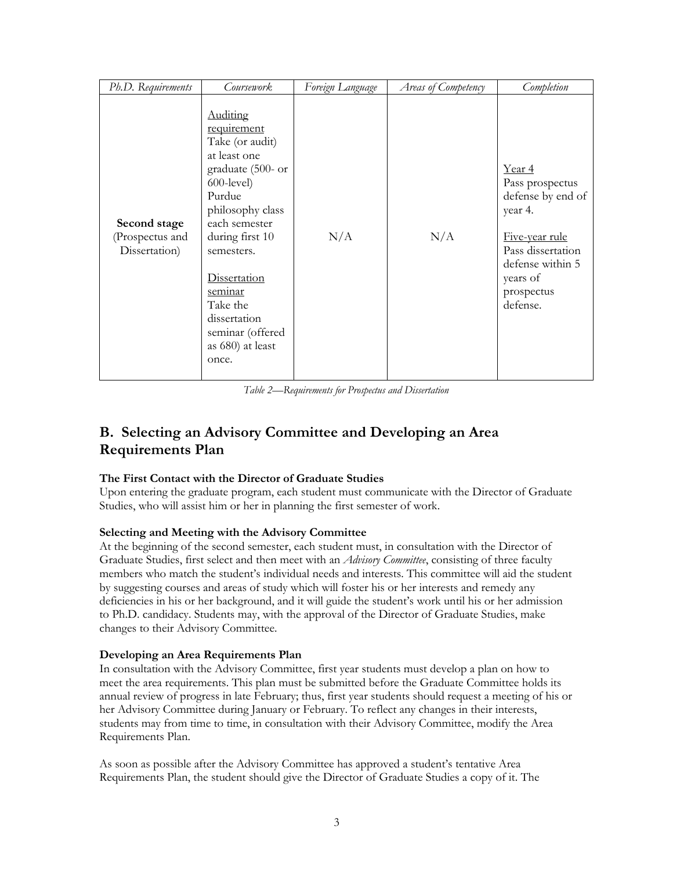| Ph.D. Requirements                               | <i>Coursework</i>                                                                                                                                                                                                                                                                                      | Foreign Language | Areas of Competency | Completion                                                                                                                                                 |
|--------------------------------------------------|--------------------------------------------------------------------------------------------------------------------------------------------------------------------------------------------------------------------------------------------------------------------------------------------------------|------------------|---------------------|------------------------------------------------------------------------------------------------------------------------------------------------------------|
| Second stage<br>(Prospectus and<br>Dissertation) | <b>Auditing</b><br>requirement<br>Take (or audit)<br>at least one<br>graduate (500- or<br>$600$ -level)<br>Purdue<br>philosophy class<br>each semester<br>during first 10<br>semesters.<br><b>Dissertation</b><br>seminar<br>Take the<br>dissertation<br>seminar (offered<br>as 680) at least<br>once. | N/A              | N/A                 | Year 4<br>Pass prospectus<br>defense by end of<br>year 4.<br>Five-year rule<br>Pass dissertation<br>defense within 5<br>years of<br>prospectus<br>defense. |

*Table 2—Requirements for Prospectus and Dissertation*

# **B. Selecting an Advisory Committee and Developing an Area Requirements Plan**

### **The First Contact with the Director of Graduate Studies**

Upon entering the graduate program, each student must communicate with the Director of Graduate Studies, who will assist him or her in planning the first semester of work.

### **Selecting and Meeting with the Advisory Committee**

At the beginning of the second semester, each student must, in consultation with the Director of Graduate Studies, first select and then meet with an *Advisory Committee*, consisting of three faculty members who match the student's individual needs and interests. This committee will aid the student by suggesting courses and areas of study which will foster his or her interests and remedy any deficiencies in his or her background, and it will guide the student's work until his or her admission to Ph.D. candidacy. Students may, with the approval of the Director of Graduate Studies, make changes to their Advisory Committee.

### **Developing an Area Requirements Plan**

In consultation with the Advisory Committee, first year students must develop a plan on how to meet the area requirements. This plan must be submitted before the Graduate Committee holds its annual review of progress in late February; thus, first year students should request a meeting of his or her Advisory Committee during January or February. To reflect any changes in their interests, students may from time to time, in consultation with their Advisory Committee, modify the Area Requirements Plan.

As soon as possible after the Advisory Committee has approved a student's tentative Area Requirements Plan, the student should give the Director of Graduate Studies a copy of it. The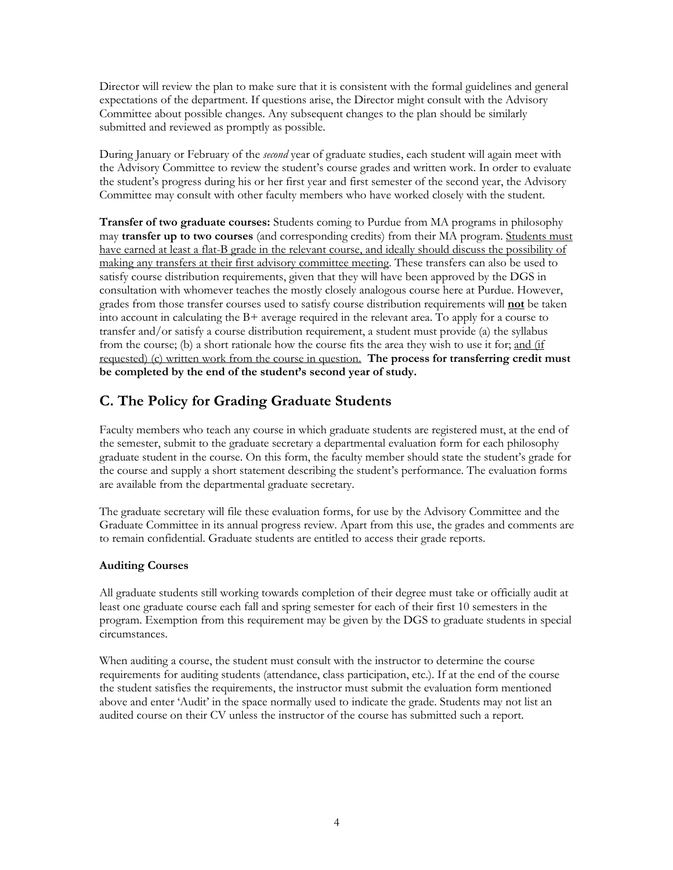Director will review the plan to make sure that it is consistent with the formal guidelines and general expectations of the department. If questions arise, the Director might consult with the Advisory Committee about possible changes. Any subsequent changes to the plan should be similarly submitted and reviewed as promptly as possible.

During January or February of the *second* year of graduate studies, each student will again meet with the Advisory Committee to review the student's course grades and written work. In order to evaluate the student's progress during his or her first year and first semester of the second year, the Advisory Committee may consult with other faculty members who have worked closely with the student.

**Transfer of two graduate courses:** Students coming to Purdue from MA programs in philosophy may **transfer up to two courses** (and corresponding credits) from their MA program. Students must have earned at least a flat-B grade in the relevant course, and ideally should discuss the possibility of making any transfers at their first advisory committee meeting. These transfers can also be used to satisfy course distribution requirements, given that they will have been approved by the DGS in consultation with whomever teaches the mostly closely analogous course here at Purdue. However, grades from those transfer courses used to satisfy course distribution requirements will **not** be taken into account in calculating the B+ average required in the relevant area. To apply for a course to transfer and/or satisfy a course distribution requirement, a student must provide (a) the syllabus from the course; (b) a short rationale how the course fits the area they wish to use it for; and (if requested) (c) written work from the course in question. **The process for transferring credit must be completed by the end of the student's second year of study.**

# **C. The Policy for Grading Graduate Students**

Faculty members who teach any course in which graduate students are registered must, at the end of the semester, submit to the graduate secretary a departmental evaluation form for each philosophy graduate student in the course. On this form, the faculty member should state the student's grade for the course and supply a short statement describing the student's performance. The evaluation forms are available from the departmental graduate secretary.

The graduate secretary will file these evaluation forms, for use by the Advisory Committee and the Graduate Committee in its annual progress review. Apart from this use, the grades and comments are to remain confidential. Graduate students are entitled to access their grade reports.

### **Auditing Courses**

All graduate students still working towards completion of their degree must take or officially audit at least one graduate course each fall and spring semester for each of their first 10 semesters in the program. Exemption from this requirement may be given by the DGS to graduate students in special circumstances.

When auditing a course, the student must consult with the instructor to determine the course requirements for auditing students (attendance, class participation, etc.). If at the end of the course the student satisfies the requirements, the instructor must submit the evaluation form mentioned above and enter 'Audit' in the space normally used to indicate the grade. Students may not list an audited course on their CV unless the instructor of the course has submitted such a report.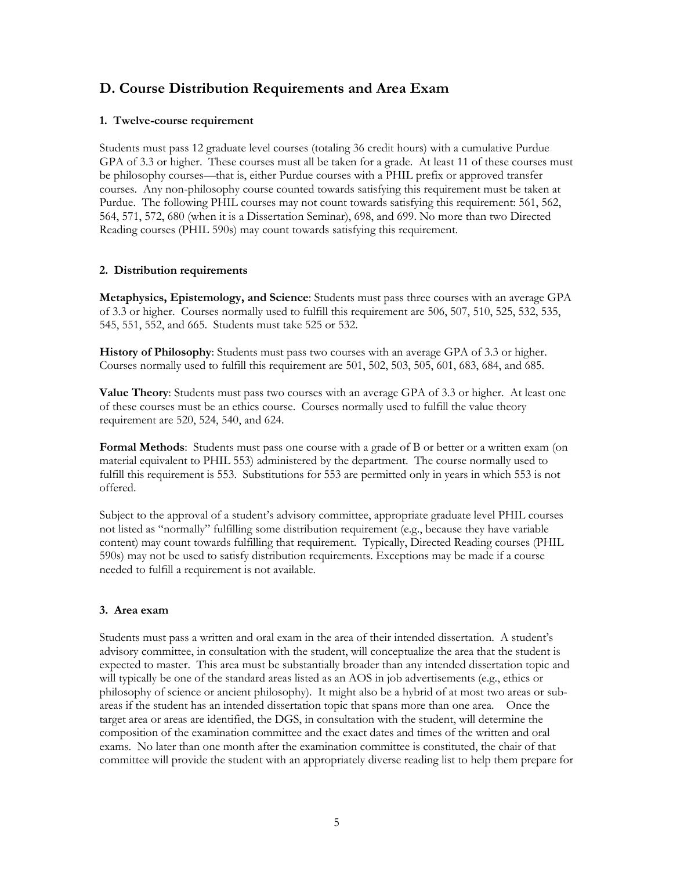### **D. Course Distribution Requirements and Area Exam**

### **1. Twelve-course requirement**

Students must pass 12 graduate level courses (totaling 36 credit hours) with a cumulative Purdue GPA of 3.3 or higher. These courses must all be taken for a grade. At least 11 of these courses must be philosophy courses—that is, either Purdue courses with a PHIL prefix or approved transfer courses. Any non-philosophy course counted towards satisfying this requirement must be taken at Purdue. The following PHIL courses may not count towards satisfying this requirement: 561, 562, 564, 571, 572, 680 (when it is a Dissertation Seminar), 698, and 699. No more than two Directed Reading courses (PHIL 590s) may count towards satisfying this requirement.

### **2. Distribution requirements**

**Metaphysics, Epistemology, and Science**: Students must pass three courses with an average GPA of 3.3 or higher. Courses normally used to fulfill this requirement are 506, 507, 510, 525, 532, 535, 545, 551, 552, and 665. Students must take 525 or 532.

**History of Philosophy**: Students must pass two courses with an average GPA of 3.3 or higher. Courses normally used to fulfill this requirement are 501, 502, 503, 505, 601, 683, 684, and 685.

**Value Theory**: Students must pass two courses with an average GPA of 3.3 or higher. At least one of these courses must be an ethics course. Courses normally used to fulfill the value theory requirement are 520, 524, 540, and 624.

**Formal Methods**: Students must pass one course with a grade of B or better or a written exam (on material equivalent to PHIL 553) administered by the department. The course normally used to fulfill this requirement is 553. Substitutions for 553 are permitted only in years in which 553 is not offered.

Subject to the approval of a student's advisory committee, appropriate graduate level PHIL courses not listed as "normally" fulfilling some distribution requirement (e.g., because they have variable content) may count towards fulfilling that requirement. Typically, Directed Reading courses (PHIL 590s) may not be used to satisfy distribution requirements. Exceptions may be made if a course needed to fulfill a requirement is not available.

### **3. Area exam**

Students must pass a written and oral exam in the area of their intended dissertation. A student's advisory committee, in consultation with the student, will conceptualize the area that the student is expected to master. This area must be substantially broader than any intended dissertation topic and will typically be one of the standard areas listed as an AOS in job advertisements (e.g., ethics or philosophy of science or ancient philosophy). It might also be a hybrid of at most two areas or subareas if the student has an intended dissertation topic that spans more than one area. Once the target area or areas are identified, the DGS, in consultation with the student, will determine the composition of the examination committee and the exact dates and times of the written and oral exams. No later than one month after the examination committee is constituted, the chair of that committee will provide the student with an appropriately diverse reading list to help them prepare for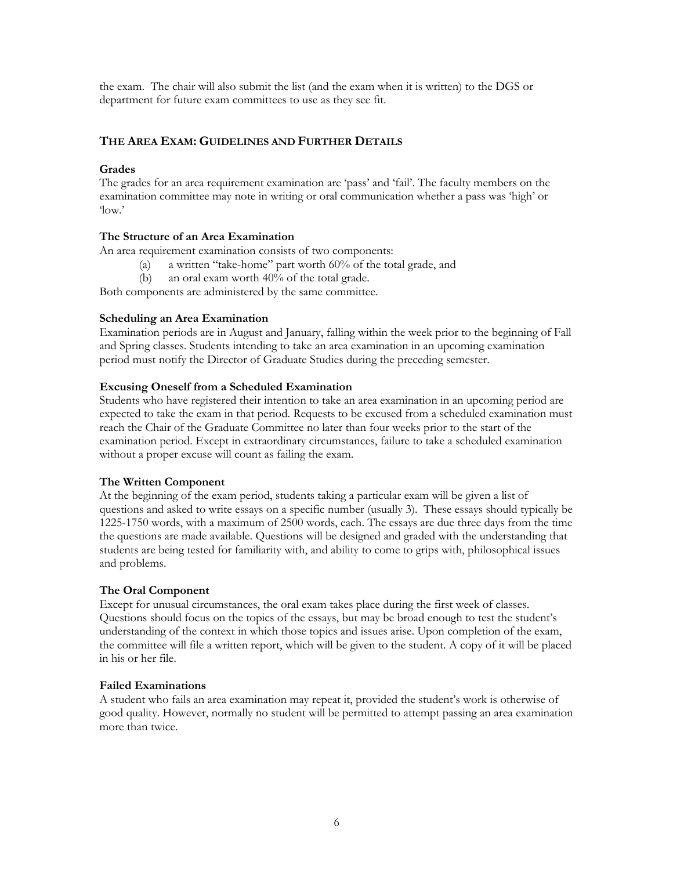the exam. The chair will also submit the list (and the exam when it is written) to the DGS or department for future exam committees to use as they see fit.

### **THE AREA EXAM: GUIDELINES AND FURTHER DETAILS**

### **Grades**

The grades for an area requirement examination are 'pass' and 'fail'. The faculty members on the examination committee may note in writing or oral communication whether a pass was 'high' or 'low.'

### **The Structure of an Area Examination**

An area requirement examination consists of two components:

- (a) a written "take-home" part worth 60% of the total grade, and
- (b) an oral exam worth 40% of the total grade.

Both components are administered by the same committee.

### **Scheduling an Area Examination**

Examination periods are in August and January, falling within the week prior to the beginning of Fall and Spring classes. Students intending to take an area examination in an upcoming examination period must notify the Director of Graduate Studies during the preceding semester.

### **Excusing Oneself from a Scheduled Examination**

Students who have registered their intention to take an area examination in an upcoming period are expected to take the exam in that period. Requests to be excused from a scheduled examination must reach the Chair of the Graduate Committee no later than four weeks prior to the start of the examination period. Except in extraordinary circumstances, failure to take a scheduled examination without a proper excuse will count as failing the exam.

#### **The Written Component**

At the beginning of the exam period, students taking a particular exam will be given a list of questions and asked to write essays on a specific number (usually 3). These essays should typically be 1225-1750 words, with a maximum of 2500 words, each. The essays are due three days from the time the questions are made available. Questions will be designed and graded with the understanding that students are being tested for familiarity with, and ability to come to grips with, philosophical issues and problems.

#### **The Oral Component**

Except for unusual circumstances, the oral exam takes place during the first week of classes. Questions should focus on the topics of the essays, but may be broad enough to test the student's understanding of the context in which those topics and issues arise. Upon completion of the exam, the committee will file a written report, which will be given to the student. A copy of it will be placed in his or her file.

#### **Failed Examinations**

A student who fails an area examination may repeat it, provided the student's work is otherwise of good quality. However, normally no student will be permitted to attempt passing an area examination more than twice.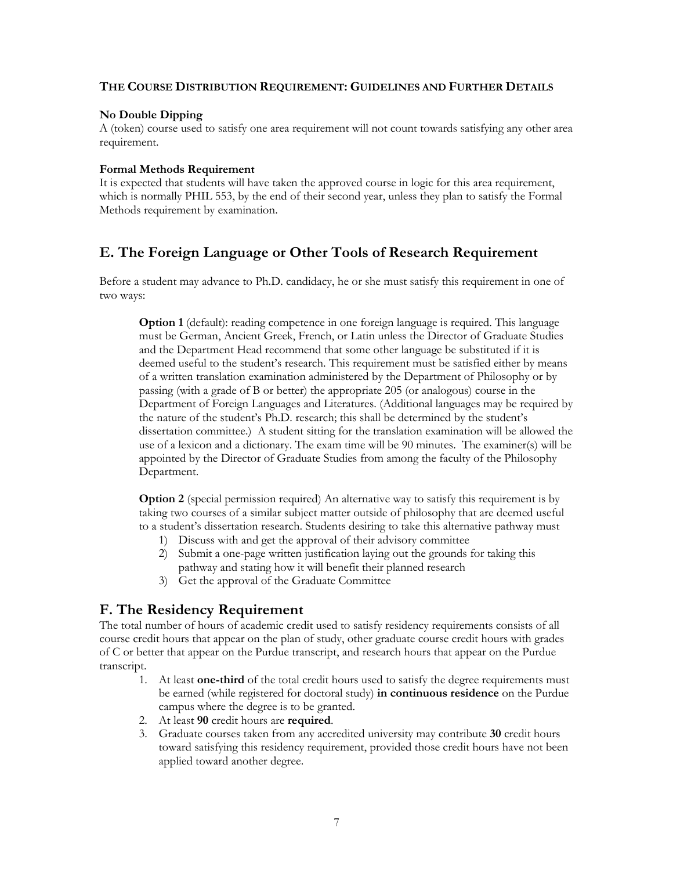### **THE COURSE DISTRIBUTION REQUIREMENT: GUIDELINES AND FURTHER DETAILS**

### **No Double Dipping**

A (token) course used to satisfy one area requirement will not count towards satisfying any other area requirement.

#### **Formal Methods Requirement**

It is expected that students will have taken the approved course in logic for this area requirement, which is normally PHIL 553, by the end of their second year, unless they plan to satisfy the Formal Methods requirement by examination.

## **E. The Foreign Language or Other Tools of Research Requirement**

Before a student may advance to Ph.D. candidacy, he or she must satisfy this requirement in one of two ways:

**Option 1** (default): reading competence in one foreign language is required. This language must be German, Ancient Greek, French, or Latin unless the Director of Graduate Studies and the Department Head recommend that some other language be substituted if it is deemed useful to the student's research. This requirement must be satisfied either by means of a written translation examination administered by the Department of Philosophy or by passing (with a grade of B or better) the appropriate 205 (or analogous) course in the Department of Foreign Languages and Literatures. (Additional languages may be required by the nature of the student's Ph.D. research; this shall be determined by the student's dissertation committee.) A student sitting for the translation examination will be allowed the use of a lexicon and a dictionary. The exam time will be 90 minutes. The examiner(s) will be appointed by the Director of Graduate Studies from among the faculty of the Philosophy Department.

**Option 2** (special permission required) An alternative way to satisfy this requirement is by taking two courses of a similar subject matter outside of philosophy that are deemed useful to a student's dissertation research. Students desiring to take this alternative pathway must

- 1) Discuss with and get the approval of their advisory committee
- 2) Submit a one-page written justification laying out the grounds for taking this pathway and stating how it will benefit their planned research
- 3) Get the approval of the Graduate Committee

### **F. The Residency Requirement**

The total number of hours of academic credit used to satisfy residency requirements consists of all course credit hours that appear on the plan of study, other graduate course credit hours with grades of C or better that appear on the Purdue transcript, and research hours that appear on the Purdue transcript.

- 1. At least **one-third** of the total credit hours used to satisfy the degree requirements must be earned (while registered for doctoral study) **in continuous residence** on the Purdue campus where the degree is to be granted.
- 2. At least **90** credit hours are **required**.
- 3. Graduate courses taken from any accredited university may contribute **30** credit hours toward satisfying this residency requirement, provided those credit hours have not been applied toward another degree.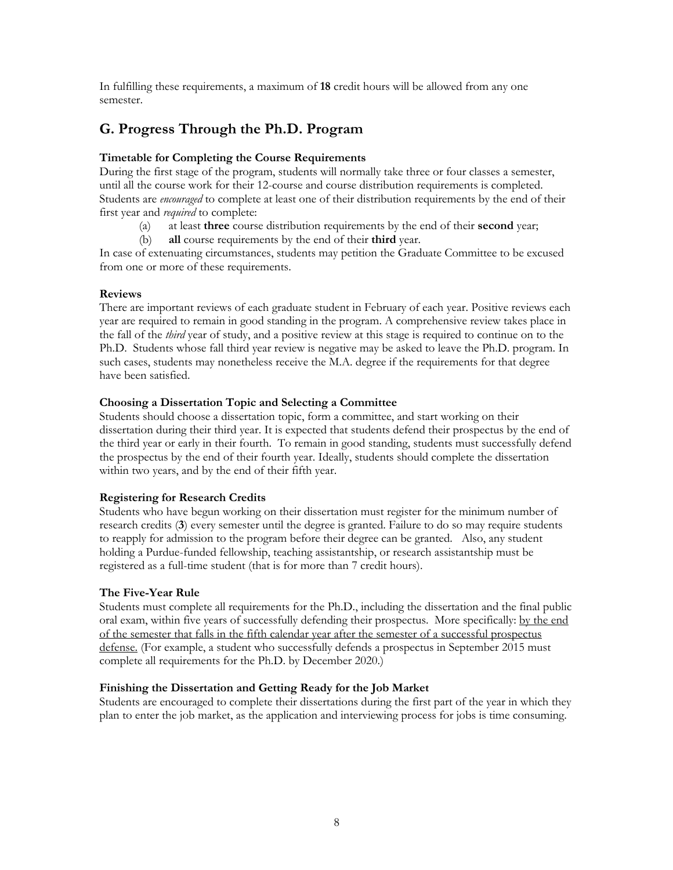In fulfilling these requirements, a maximum of **18** credit hours will be allowed from any one semester.

## **G. Progress Through the Ph.D. Program**

### **Timetable for Completing the Course Requirements**

During the first stage of the program, students will normally take three or four classes a semester, until all the course work for their 12-course and course distribution requirements is completed. Students are *encouraged* to complete at least one of their distribution requirements by the end of their first year and *required* to complete:

- (a) at least **three** course distribution requirements by the end of their **second** year;
- (b) **all** course requirements by the end of their **third** year.

In case of extenuating circumstances, students may petition the Graduate Committee to be excused from one or more of these requirements.

### **Reviews**

There are important reviews of each graduate student in February of each year. Positive reviews each year are required to remain in good standing in the program. A comprehensive review takes place in the fall of the *third* year of study, and a positive review at this stage is required to continue on to the Ph.D. Students whose fall third year review is negative may be asked to leave the Ph.D. program. In such cases, students may nonetheless receive the M.A. degree if the requirements for that degree have been satisfied.

### **Choosing a Dissertation Topic and Selecting a Committee**

Students should choose a dissertation topic, form a committee, and start working on their dissertation during their third year. It is expected that students defend their prospectus by the end of the third year or early in their fourth. To remain in good standing, students must successfully defend the prospectus by the end of their fourth year. Ideally, students should complete the dissertation within two years, and by the end of their fifth year.

### **Registering for Research Credits**

Students who have begun working on their dissertation must register for the minimum number of research credits (**3**) every semester until the degree is granted. Failure to do so may require students to reapply for admission to the program before their degree can be granted. Also, any student holding a Purdue-funded fellowship, teaching assistantship, or research assistantship must be registered as a full-time student (that is for more than 7 credit hours).

### **The Five-Year Rule**

Students must complete all requirements for the Ph.D., including the dissertation and the final public oral exam, within five years of successfully defending their prospectus. More specifically: by the end of the semester that falls in the fifth calendar year after the semester of a successful prospectus defense. (For example, a student who successfully defends a prospectus in September 2015 must complete all requirements for the Ph.D. by December 2020.)

### **Finishing the Dissertation and Getting Ready for the Job Market**

Students are encouraged to complete their dissertations during the first part of the year in which they plan to enter the job market, as the application and interviewing process for jobs is time consuming.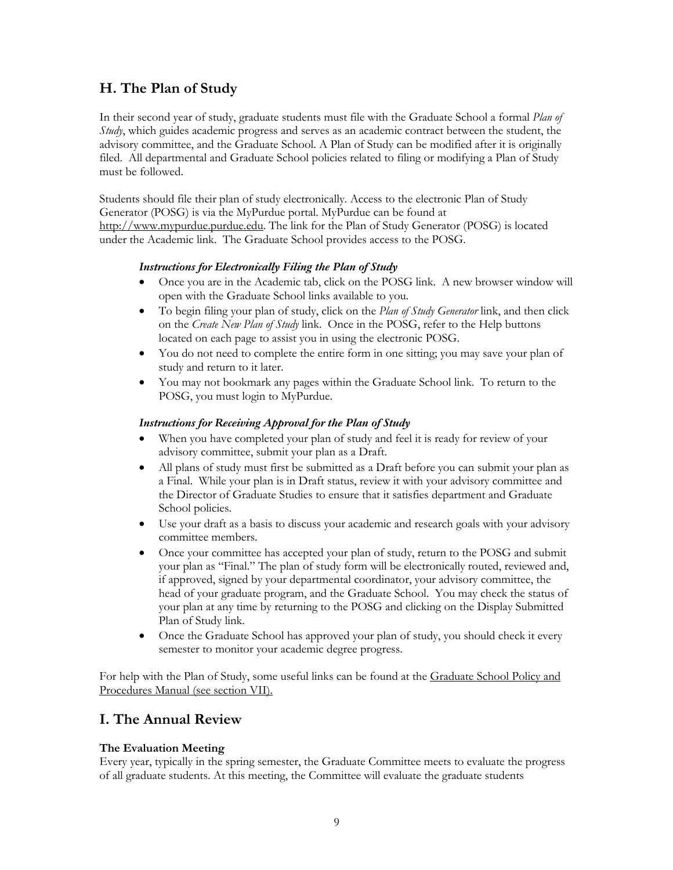# **H. The Plan of Study**

In their second year of study, graduate students must file with the Graduate School a formal *Plan of Study*, which guides academic progress and serves as an academic contract between the student, the advisory committee, and the Graduate School. A Plan of Study can be modified after it is originally filed. All departmental and Graduate School policies related to filing or modifying a Plan of Study must be followed.

Students should file their plan of study electronically. Access to the electronic Plan of Study Generator (POSG) is via the MyPurdue portal. MyPurdue can be found at http://www.mypurdue.purdue.edu. The link for the Plan of Study Generator (POSG) is located under the Academic link. The Graduate School provides access to the POSG.

### *Instructions for Electronically Filing the Plan of Study*

- Once you are in the Academic tab, click on the POSG link. A new browser window will open with the Graduate School links available to you.
- To begin filing your plan of study, click on the *Plan of Study Generator* link, and then click on the *Create New Plan of Study* link. Once in the POSG, refer to the Help buttons located on each page to assist you in using the electronic POSG.
- You do not need to complete the entire form in one sitting; you may save your plan of study and return to it later.
- You may not bookmark any pages within the Graduate School link. To return to the POSG, you must login to MyPurdue.

### *Instructions for Receiving Approval for the Plan of Study*

- When you have completed your plan of study and feel it is ready for review of your advisory committee, submit your plan as a Draft.
- All plans of study must first be submitted as a Draft before you can submit your plan as a Final. While your plan is in Draft status, review it with your advisory committee and the Director of Graduate Studies to ensure that it satisfies department and Graduate School policies.
- Use your draft as a basis to discuss your academic and research goals with your advisory committee members.
- Once your committee has accepted your plan of study, return to the POSG and submit your plan as "Final." The plan of study form will be electronically routed, reviewed and, if approved, signed by your departmental coordinator, your advisory committee, the head of your graduate program, and the Graduate School. You may check the status of your plan at any time by returning to the POSG and clicking on the Display Submitted Plan of Study link.
- Once the Graduate School has approved your plan of study, you should check it every semester to monitor your academic degree progress.

For help with the Plan of Study, some useful links can be found at the Graduate School Policy and Procedures Manual (see section VII).

### **I. The Annual Review**

### **The Evaluation Meeting**

Every year, typically in the spring semester, the Graduate Committee meets to evaluate the progress of all graduate students. At this meeting, the Committee will evaluate the graduate students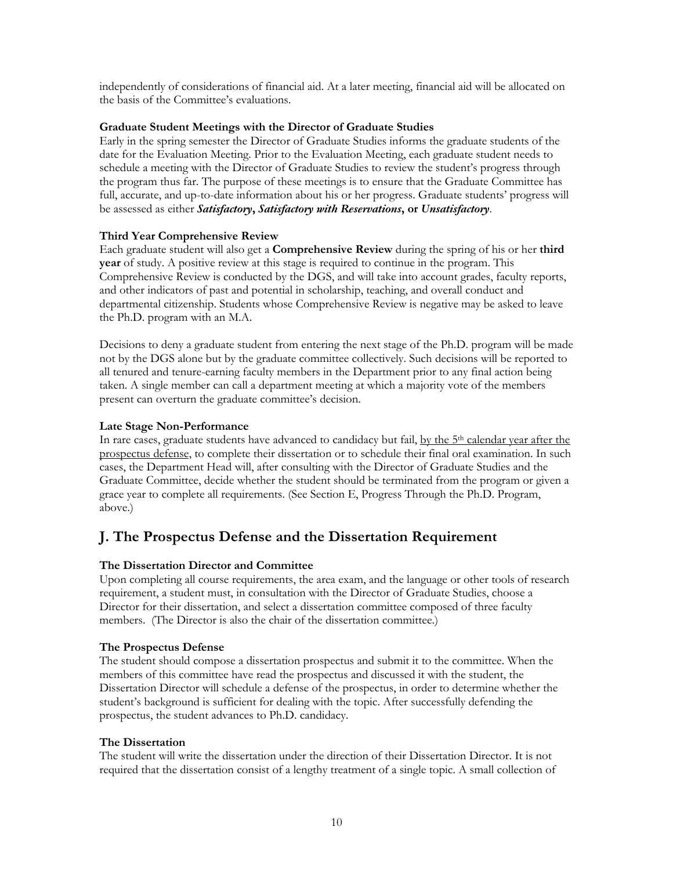independently of considerations of financial aid. At a later meeting, financial aid will be allocated on the basis of the Committee's evaluations.

### **Graduate Student Meetings with the Director of Graduate Studies**

Early in the spring semester the Director of Graduate Studies informs the graduate students of the date for the Evaluation Meeting. Prior to the Evaluation Meeting, each graduate student needs to schedule a meeting with the Director of Graduate Studies to review the student's progress through the program thus far. The purpose of these meetings is to ensure that the Graduate Committee has full, accurate, and up-to-date information about his or her progress. Graduate students' progress will be assessed as either *Satisfactory***,** *Satisfactory with Reservations***, or** *Unsatisfactory*.

### **Third Year Comprehensive Review**

Each graduate student will also get a **Comprehensive Review** during the spring of his or her **third year** of study. A positive review at this stage is required to continue in the program. This Comprehensive Review is conducted by the DGS, and will take into account grades, faculty reports, and other indicators of past and potential in scholarship, teaching, and overall conduct and departmental citizenship. Students whose Comprehensive Review is negative may be asked to leave the Ph.D. program with an M.A.

Decisions to deny a graduate student from entering the next stage of the Ph.D. program will be made not by the DGS alone but by the graduate committee collectively. Such decisions will be reported to all tenured and tenure-earning faculty members in the Department prior to any final action being taken. A single member can call a department meeting at which a majority vote of the members present can overturn the graduate committee's decision.

### **Late Stage Non-Performance**

In rare cases, graduate students have advanced to candidacy but fail, by the 5<sup>th</sup> calendar year after the prospectus defense, to complete their dissertation or to schedule their final oral examination. In such cases, the Department Head will, after consulting with the Director of Graduate Studies and the Graduate Committee, decide whether the student should be terminated from the program or given a grace year to complete all requirements. (See Section E, Progress Through the Ph.D. Program, above.)

### **J. The Prospectus Defense and the Dissertation Requirement**

### **The Dissertation Director and Committee**

Upon completing all course requirements, the area exam, and the language or other tools of research requirement, a student must, in consultation with the Director of Graduate Studies, choose a Director for their dissertation, and select a dissertation committee composed of three faculty members. (The Director is also the chair of the dissertation committee.)

### **The Prospectus Defense**

The student should compose a dissertation prospectus and submit it to the committee. When the members of this committee have read the prospectus and discussed it with the student, the Dissertation Director will schedule a defense of the prospectus, in order to determine whether the student's background is sufficient for dealing with the topic. After successfully defending the prospectus, the student advances to Ph.D. candidacy.

### **The Dissertation**

The student will write the dissertation under the direction of their Dissertation Director. It is not required that the dissertation consist of a lengthy treatment of a single topic. A small collection of